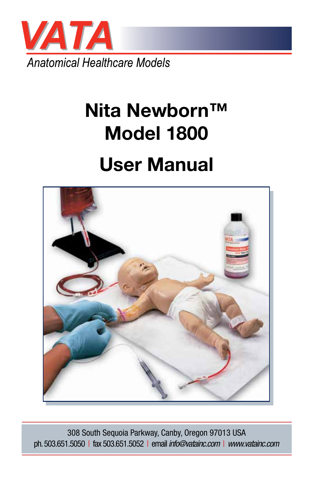

# **Nita Newborn™ Model 1800**

## **User Manual**



308 South Sequoia Parkway, Canby, Oregon 97013 USA ph. 503.651.5050 | fax 503.651.5052 | email *info@vatainc.com* | *www.vatainc.com*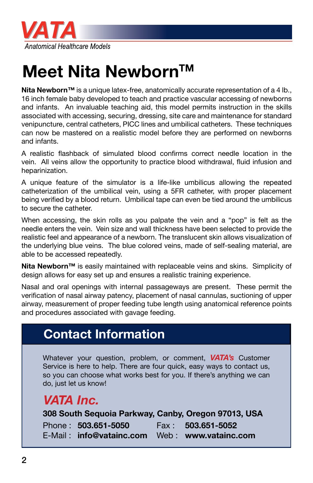

## **Meet Nita Newborn™**

**Nita Newborn™** is a unique latex-free, anatomically accurate representation of a 4 lb., 16 inch female baby developed to teach and practice vascular accessing of newborns and infants. An invaluable teaching aid, this model permits instruction in the skills associated with accessing, securing, dressing, site care and maintenance for standard venipuncture, central catheters, PICC lines and umbilical catheters. These techniques can now be mastered on a realistic model before they are performed on newborns and infants.

A realistic flashback of simulated blood confirms correct needle location in the vein. All veins allow the opportunity to practice blood withdrawal, fluid infusion and heparinization.

A unique feature of the simulator is a life-like umbilicus allowing the repeated catheterization of the umbilical vein, using a 5FR catheter, with proper placement being verified by a blood return. Umbilical tape can even be tied around the umbilicus to secure the catheter.

When accessing, the skin rolls as you palpate the vein and a "pop" is felt as the needle enters the vein. Vein size and wall thickness have been selected to provide the realistic feel and appearance of a newborn. The translucent skin allows visualization of the underlying blue veins. The blue colored veins, made of self-sealing material, are able to be accessed repeatedly.

**Nita Newborn™** is easily maintained with replaceable veins and skins. Simplicity of design allows for easy set up and ensures a realistic training experience.

Nasal and oral openings with internal passageways are present. These permit the verification of nasal airway patency, placement of nasal cannulas, suctioning of upper airway, measurement of proper feeding tube length using anatomical reference points and procedures associated with gavage feeding.

#### **Contact Information**

Whatever your question, problem, or comment, *VATA's* Customer Service is here to help. There are four quick, easy ways to contact us, so you can choose what works best for you. If there's anything we can do, just let us know!

#### *VATA Inc.*

#### **308 South Sequoia Parkway, Canby, Oregon 97013, USA**  Phone : **503.651-5050** Fax : **503.651-5052** E-Mail : **info@vatainc.com** Web : **www.vatainc.com**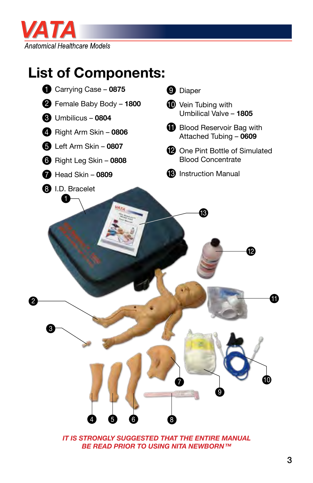

## **List of Components:**



*IT IS STRONGLY SUGGESTED THAT THE ENTIRE MANUAL BE READ PRIOR TO USING NITA NEWBORN™*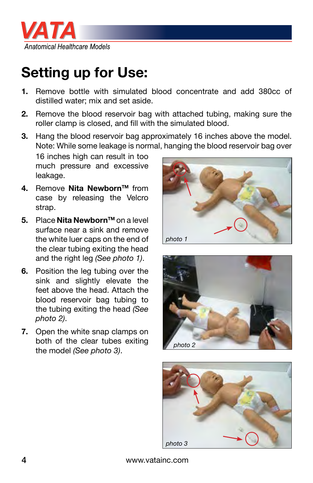

## **Setting up for Use:**

- **1.** Remove bottle with simulated blood concentrate and add 380cc of distilled water; mix and set aside.
- **2.** Remove the blood reservoir bag with attached tubing, making sure the roller clamp is closed, and fill with the simulated blood.
- **3.** Hang the blood reservoir bag approximately 16 inches above the model. Note: While some leakage is normal, hanging the blood reservoir bag over

16 inches high can result in too much pressure and excessive leakage.

- **4.** Remove **Nita Newborn™** from case by releasing the Velcro strap.
- **5.** Place **Nita Newborn™** on a level surface near a sink and remove the white luer caps on the end of the clear tubing exiting the head and the right leg *(See photo 1)*.
- **6.** Position the leg tubing over the sink and slightly elevate the feet above the head. Attach the blood reservoir bag tubing to the tubing exiting the head *(See photo 2)*.
- **7.** Open the white snap clamps on both of the clear tubes exiting the model *(See photo 3)*.







4 www.vatainc.com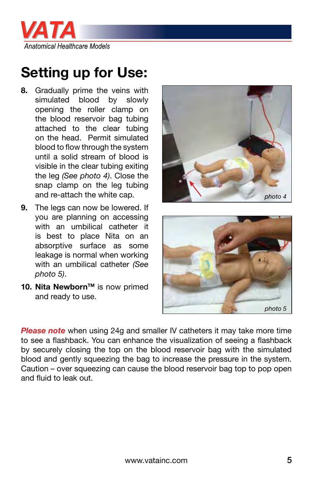

#### **Setting up for Use:**

- **8.** Gradually prime the veins with simulated blood by slowly opening the roller clamp on the blood reservoir bag tubing attached to the clear tubing on the head. Permit simulated blood to flow through the system until a solid stream of blood is visible in the clear tubing exiting the leg *(See photo 4)*. Close the snap clamp on the leg tubing and re-attach the white cap.
- **9.** The legs can now be lowered. If you are planning on accessing with an umbilical catheter it is best to place Nita on an absorptive surface as some leakage is normal when working with an umbilical catheter *(See photo 5)*.
- **10. Nita Newborn™** is now primed and ready to use.





**Please note** when using 24g and smaller IV catheters it may take more time to see a flashback. You can enhance the visualization of seeing a flashback by securely closing the top on the blood reservoir bag with the simulated blood and gently squeezing the bag to increase the pressure in the system. Caution – over squeezing can cause the blood reservoir bag top to pop open and fluid to leak out.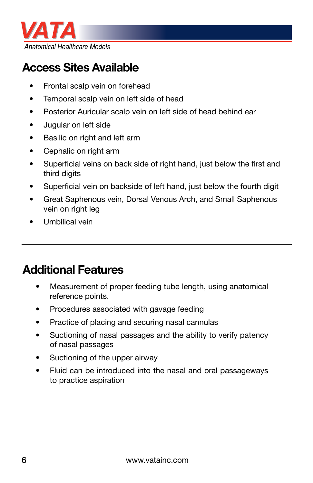

#### **Access Sites Available**

- Frontal scalp vein on forehead
- Temporal scalp vein on left side of head
- Posterior Auricular scalp vein on left side of head behind ear
- Jugular on left side
- Basilic on right and left arm
- Cephalic on right arm
- Superficial veins on back side of right hand, just below the first and third digits
- Superficial vein on backside of left hand, just below the fourth digit
- Great Saphenous vein, Dorsal Venous Arch, and Small Saphenous vein on right leg
- Umbilical vein

#### **Additional Features**

- Measurement of proper feeding tube length, using anatomical reference points.
- Procedures associated with gavage feeding
- Practice of placing and securing nasal cannulas
- Suctioning of nasal passages and the ability to verify patency of nasal passages
- Suctioning of the upper airway
- Fluid can be introduced into the nasal and oral passageways to practice aspiration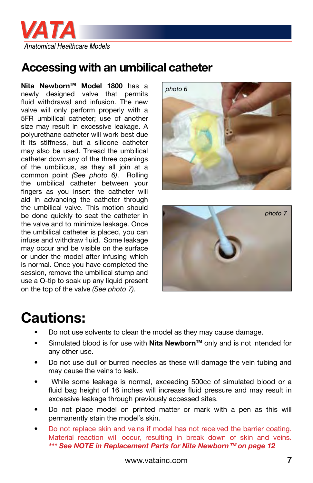

#### **Accessing with an umbilical catheter**

**Nita NewbornTM Model 1800** has a newly designed valve that permits fluid withdrawal and infusion. The new valve will only perform properly with a 5FR umbilical catheter; use of another size may result in excessive leakage. A polyurethane catheter will work best due it its stiffness, but a silicone catheter may also be used. Thread the umbilical catheter down any of the three openings of the umbilicus, as they all join at a common point *(See photo 6)*. Rolling the umbilical catheter between your fingers as you insert the catheter will aid in advancing the catheter through the umbilical valve. This motion should be done quickly to seat the catheter in the valve and to minimize leakage. Once the umbilical catheter is placed, you can infuse and withdraw fluid. Some leakage may occur and be visible on the surface or under the model after infusing which is normal. Once you have completed the session, remove the umbilical stump and use a Q-tip to soak up any liquid present on the top of the valve *(See photo 7)*.





#### **Cautions:**

- Do not use solvents to clean the model as they may cause damage.
- Simulated blood is for use with **Nita Newborn™** only and is not intended for any other use.
- Do not use dull or burred needles as these will damage the vein tubing and may cause the veins to leak.
- While some leakage is normal, exceeding 500cc of simulated blood or a fluid bag height of 16 inches will increase fluid pressure and may result in excessive leakage through previously accessed sites.
- Do not place model on printed matter or mark with a pen as this will permanently stain the model's skin.
- Do not replace skin and veins if model has not received the barrier coating. Material reaction will occur, resulting in break down of skin and veins. *\*\*\* See NOTE in Replacement Parts for Nita Newborn™ on page 12*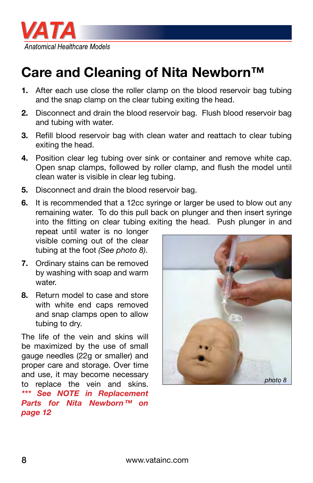

#### **Care and Cleaning of Nita Newborn™**

- **1.** After each use close the roller clamp on the blood reservoir bag tubing and the snap clamp on the clear tubing exiting the head.
- **2.** Disconnect and drain the blood reservoir bag. Flush blood reservoir bag and tubing with water.
- **3.** Refill blood reservoir bag with clean water and reattach to clear tubing exiting the head.
- **4.** Position clear leg tubing over sink or container and remove white cap. Open snap clamps, followed by roller clamp, and flush the model until clean water is visible in clear leg tubing.
- **5.** Disconnect and drain the blood reservoir bag.
- **6.** It is recommended that a 12cc syringe or larger be used to blow out any remaining water. To do this pull back on plunger and then insert syringe into the fitting on clear tubing exiting the head. Push plunger in and

repeat until water is no longer visible coming out of the clear tubing at the foot *(See photo 8)*.

- **7.** Ordinary stains can be removed by washing with soap and warm water.
- **8.** Return model to case and store with white end caps removed and snap clamps open to allow tubing to dry.

The life of the vein and skins will be maximized by the use of small gauge needles (22g or smaller) and proper care and storage. Over time and use, it may become necessary to replace the vein and skins. *\*\*\* See NOTE in Replacement Parts for Nita Newborn™ on page 12*

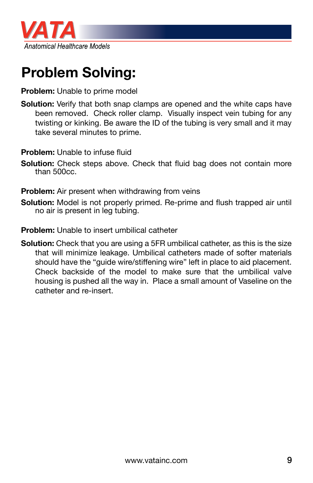

## **Problem Solving:**

#### **Problem:** Unable to prime model

**Solution:** Verify that both snap clamps are opened and the white caps have been removed. Check roller clamp. Visually inspect vein tubing for any twisting or kinking. Be aware the ID of the tubing is very small and it may take several minutes to prime.

**Problem:** Unable to infuse fluid

**Solution:** Check steps above. Check that fluid bag does not contain more than 500cc.

**Problem:** Air present when withdrawing from veins

**Solution:** Model is not properly primed. Re-prime and flush trapped air until no air is present in leg tubing.

**Problem:** Unable to insert umbilical catheter

**Solution:** Check that you are using a 5FR umbilical catheter, as this is the size that will minimize leakage. Umbilical catheters made of softer materials should have the "guide wire/stiffening wire" left in place to aid placement. Check backside of the model to make sure that the umbilical valve housing is pushed all the way in. Place a small amount of Vaseline on the catheter and re-insert.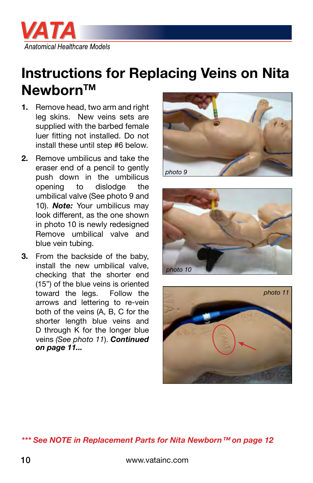

#### **Instructions for Replacing Veins on Nita Newborn™**

- **1.** Remove head, two arm and right leg skins. New veins sets are supplied with the barbed female luer fitting not installed. Do not install these until step #6 below.
- **2.** Remove umbilicus and take the eraser end of a pencil to gently push down in the umbilicus opening to dislodge the umbilical valve (See photo 9 and 10). *Note:* Your umbilicus may look different, as the one shown in photo 10 is newly redesigned Remove umbilical valve and blue vein tubing.
- **3.** From the backside of the baby, install the new umbilical valve, checking that the shorter end (15") of the blue veins is oriented toward the legs. Follow the arrows and lettering to re-vein both of the veins (A, B, C for the shorter length blue veins and D through K for the longer blue veins *(See photo 11*). *Continued on page 11...*







#### *\*\*\* See NOTE in Replacement Parts for Nita Newborn™ on page 12*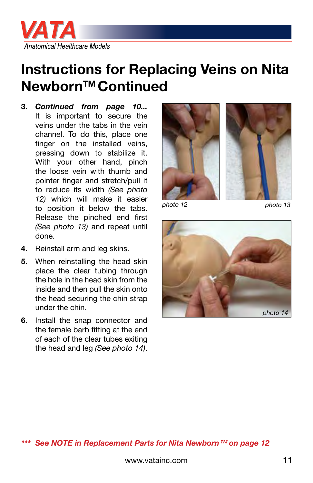

#### **Instructions for Replacing Veins on Nita NewbornTM Continued**

**3.** *Continued from page 10...* It is important to secure the veins under the tabs in the vein channel. To do this, place one finger on the installed veins, pressing down to stabilize it. With your other hand, pinch the loose vein with thumb and pointer finger and stretch/pull it to reduce its width *(See photo 12)* which will make it easier to position it below the tabs. Release the pinched end first *(See photo 13)* and repeat until done.



*photo 12*

*photo 13*



- **4.** Reinstall arm and leg skins.
- **5.** When reinstalling the head skin place the clear tubing through the hole in the head skin from the inside and then pull the skin onto the head securing the chin strap under the chin.
- **6**. Install the snap connector and the female barb fitting at the end of each of the clear tubes exiting the head and leg *(See photo 14)*.

#### *\*\*\* See NOTE in Replacement Parts for Nita Newborn™ on page 12*